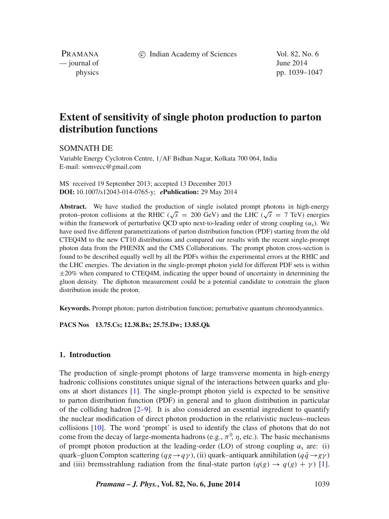c Indian Academy of Sciences Vol. 82, No. 6

PRAMANA  $\frac{1}{2014}$   $\frac{1}{2014}$ 

physics pp. 1039–1047

# **Extent of sensitivity of single photon production to parton distribution functions**

SOMNATH DE

Variable Energy Cyclotron Centre, 1/AF Bidhan Nagar, Kolkata 700 064, India E-mail: somvecc@gmail.com

MS received 19 September 2013; accepted 13 December 2013 **DOI:** 10.1007/s12043-014-0765-y; *e***Publication:** 29 May 2014

**Abstract.** We have studied the production of single isolated prompt photons in high-energy proton–proton collisions at the RHIC ( $\sqrt{s}$  = 200 GeV) and the LHC ( $\sqrt{s}$  = 7 TeV) energies within the framework of perturbative QCD upto next-to-leading order of strong coupling  $(\alpha_s)$ . We have used five different parametrizations of parton distribution function (PDF) starting from the old CTEQ4M to the new CT10 distributions and compared our results with the recent single-prompt photon data from the PHENIX and the CMS Collaborations. The prompt photon cross-section is found to be described equally well by all the PDFs within the experimental errors at the RHIC and the LHC energies. The deviation in the single-prompt photon yield for different PDF sets is within ±20% when compared to CTEQ4M, indicating the upper bound of uncertainty in determining the gluon density. The diphoton measurement could be a potential candidate to constrain the gluon distribution inside the proton.

**Keywords.** Prompt photon; parton distribution function; perturbative quantum chromodyanmics.

**PACS Nos 13.75.Cs; 12.38.Bx; 25.75.Dw; 13.85.Qk**

#### **1. Introduction**

The production of single-prompt photons of large transverse momenta in high-energy hadronic collisions constitutes unique signal of the interactions between quarks and gluons at short distances [\[1\]](#page-7-0). The single-prompt photon yield is expected to be sensitive to parton distribution function (PDF) in general and to gluon distribution in particular of the colliding hadron  $[2-9]$  $[2-9]$ . It is also considered an essential ingredient to quantify the nuclear modification of direct photon production in the relativistic nucleus–nucleus collisions [\[10\]](#page-8-1). The word 'prompt' is used to identify the class of photons that do not come from the decay of large-momenta hadrons (e.g.,  $\pi^0$ ,  $\eta$ , etc.). The basic mechanisms of prompt photon production at the leading-order (LO) of strong coupling  $\alpha_s$  are: (i) quark–gluon Compton scattering ( $qg \rightarrow q\gamma$ ), (ii) quark–antiquark annihilation ( $q\bar{q} \rightarrow g\gamma$ ) and (iii) bremsstrahlung radiation from the final-state parton  $(q(g) \rightarrow q(g) + \gamma)$  [\[1\]](#page-7-0).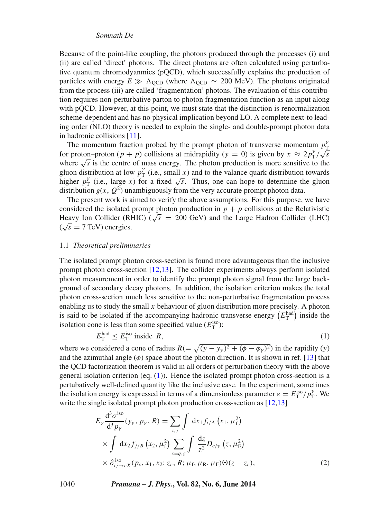#### *Somnath De*

Because of the point-like coupling, the photons produced through the processes (i) and (ii) are called 'direct' photons. The direct photons are often calculated using perturbative quantum chromodyanmics (pQCD), which successfully explains the production of particles with energy  $E \gg \Lambda_{\text{QCD}}$  (where  $\Lambda_{\text{QCD}} \sim 200$  MeV). The photons originated from the process (iii) are called 'fragmentation' photons. The evaluation of this contribution requires non-perturbative parton to photon fragmentation function as an input along with pOCD. However, at this point, we must state that the distinction is renormalization scheme-dependent and has no physical implication beyond LO. A complete next-to leading order (NLO) theory is needed to explain the single- and double-prompt photon data in hadronic collisions [\[11\]](#page-8-2).

The momentum fraction probed by the prompt photon of transverse momentum  $p_{\text{T}}^{\gamma}$ for proton–proton  $(p + p)$  collisions at midrapidity  $(y = 0)$  is given by  $x \approx 2p_T^{\gamma}/\sqrt{s}$ where  $\sqrt{s}$  is the centre of mass energy. The photon production is more sensitive to the gluon distribution at low  $p_T^{\gamma}$  (i.e., small x) and to the valance quark distribution towards higher  $p_T^{\gamma}$  (i.e., large x) for a fixed  $\sqrt{s}$ . Thus, one can hope to determine the gluon distribution  $g(x, Q^2)$  unambiguously from the very accurate prompt photon data.

The present work is aimed to verify the above assumptions. For this purpose, we have considered the isolated prompt photon production in  $p + p$  collisions at the Relativistic Heavy Ion Collider (RHIC) ( $\sqrt{s}$  = 200 GeV) and the Large Hadron Collider (LHC)  $(\sqrt{s} = 7 \text{ TeV})$  energies.

#### 1.1 *Theoretical preliminaries*

The isolated prompt photon cross-section is found more advantageous than the inclusive prompt photon cross-section [\[12,](#page-8-3)[13\]](#page-8-4). The collider experiments always perform isolated photon measurement in order to identify the prompt photon signal from the large background of secondary decay photons. In addition, the isolation criterion makes the total photon cross-section much less sensitive to the non-perturbative fragmentation process enabling us to study the small  $x$  behaviour of gluon distribution more precisely. A photon is said to be isolated if the accompanying hadronic transverse energy  $(E_{\text{T}}^{\text{had}})$  inside the isolation cone is less than some specified value  $(E_{\text{T}}^{\text{iso}})$ :

<span id="page-1-0"></span>
$$
E_{\rm T}^{\rm had} \le E_{\rm T}^{\rm iso} \text{ inside } R,\tag{1}
$$

where we considered a cone of radius  $R = \sqrt{(y - y_\gamma)^2 + (\phi - \phi_\gamma)^2}$  in the rapidity (y) and the azimuthal angle  $(\phi)$  space about the photon direction. It is shown in ref. [\[13\]](#page-8-4) that the QCD factorization theorem is valid in all orders of perturbation theory with the above general isolation criterion (eq. [\(1\)](#page-1-0)). Hence the isolated prompt photon cross-section is a pertubatively well-defined quantity like the inclusive case. In the experiment, sometimes the isolation energy is expressed in terms of a dimensionless parameter  $\varepsilon = E_{\rm T}^{\rm iso}/p_{\rm T}^{\gamma}$ . We write the single isolated prompt photon production cross-section as [\[12,](#page-8-3)[13\]](#page-8-4)

<span id="page-1-1"></span>
$$
E_{\gamma} \frac{d^3 \sigma^{iso}}{d^3 p_{\gamma}} (y_{\gamma}, p_{\gamma}, R) = \sum_{i,j} \int dx_1 f_{i/A} (x_1, \mu_f^2)
$$
  
 
$$
\times \int dx_2 f_{j/B} (x_2, \mu_f^2) \sum_{c=q,g} \int \frac{dz}{z^2} D_{c/\gamma} (z, \mu_F^2)
$$
  
 
$$
\times \hat{\sigma}_{ij \to cX}^{iso} (p_c, x_1, x_2; z_c, R; \mu_f, \mu_R, \mu_F) \Theta(z - z_c),
$$
 (2)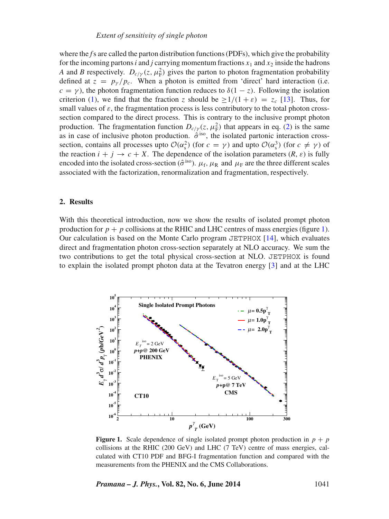where the *f*'s are called the parton distribution functions (PDFs), which give the probability for the incoming partons *i* and *j* carrying momentum fractions  $x_1$  and  $x_2$  inside the hadrons *A* and *B* respectively.  $D_{c/\gamma}(z, \mu_F^2)$  gives the parton to photon fragmentation probability defined at  $z = p_y / p_c$ . When a photon is emitted from 'direct' hard interaction (i.e.  $c = \gamma$ ), the photon fragmentation function reduces to  $\delta(1 - z)$ . Following the isolation criterion [\(1\)](#page-1-0), we find that the fraction z should be  $\geq 1/(1+\varepsilon) = z_c$  [\[13\]](#page-8-4). Thus, for small values of  $\varepsilon$ , the fragmentation process is less contributory to the total photon crosssection compared to the direct process. This is contrary to the inclusive prompt photon production. The fragmentation function  $D_{c/\gamma}(z, \mu_{\rm F}^2)$  that appears in eq. [\(2\)](#page-1-1) is the same as in case of inclusive photon production.  $\hat{\sigma}^{iso}$ , the isolated partonic interaction crosssection, contains all processes upto  $\mathcal{O}(\alpha_s^2)$  (for  $c = \gamma$ ) and upto  $\mathcal{O}(\alpha_s^3)$  (for  $c \neq \gamma$ ) of the reaction  $i + j \rightarrow c + X$ . The dependence of the isolation parameters  $(R, \varepsilon)$  is fully encoded into the isolated cross-section ( $\hat{\sigma}^{iso}$ ).  $\mu_f$ ,  $\mu_R$  and  $\mu_F$  are the three different scales associated with the factorization, renormalization and fragmentation, respectively.

### **2. Results**

With this theoretical introduction, now we show the results of isolated prompt photon production for  $p + p$  collisions at the RHIC and LHC centres of mass energies (figure [1\)](#page-2-0). Our calculation is based on the Monte Carlo program  $JETPHOX$  [\[14\]](#page-8-5), which evaluates direct and fragmentation photon cross-section separately at NLO accuracy. We sum the two contributions to get the total physical cross-section at NLO. JETPHOX is found to explain the isolated prompt photon data at the Tevatron energy [\[3\]](#page-7-2) and at the LHC

<span id="page-2-0"></span>

**Figure 1.** Scale dependence of single isolated prompt photon production in  $p + p$ collisions at the RHIC (200 GeV) and LHC (7 TeV) centre of mass energies, calculated with CT10 PDF and BFG-I fragmentation function and compared with the measurements from the PHENIX and the CMS Collaborations.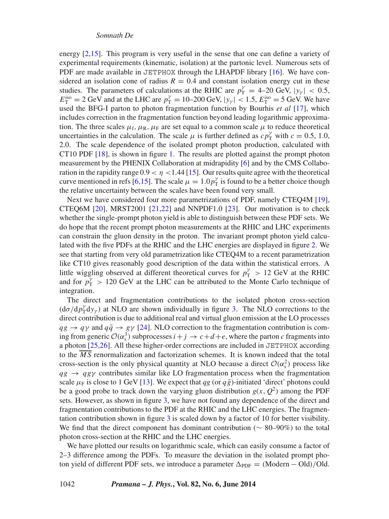energy [\[2](#page-7-1)[,15\]](#page-8-6). This program is very useful in the sense that one can define a variety of experimental requirements (kinematic, isolation) at the partonic level. Numerous sets of PDF are made available in JETPHOX through the LHAPDF library [\[16\]](#page-8-7). We have considered an isolation cone of radius  $R = 0.4$  and constant isolation energy cut in these studies. The parameters of calculations at the RHIC are  $p_T^{\gamma} = 4{\text -}20 \text{ GeV}, |y_{\gamma}| < 0.5$ ,  $E_{\rm T}^{\rm iso} = 2 \text{ GeV}$  and at the LHC are  $p_{\rm T}^{\gamma} = 10{\text -}200 \text{ GeV}, |y_{\gamma}| < 1.5, E_{\rm T}^{\rm iso} = 5 \text{ GeV}$ . We have used the BFG-I parton to photon fragmentation function by Bourhis *et al* [\[17\]](#page-8-8), which includes correction in the fragmentation function beyond leading logarithmic approximation. The three scales  $\mu_f$ ,  $\mu_R$ ,  $\mu_F$  are set equal to a common scale  $\mu$  to reduce theoretical uncertainties in the calculation. The scale  $\mu$  is further defined as  $c p_{\rm T}^{\gamma}$  with  $c = 0.5, 1.0$ , 2.0. The scale dependence of the isolated prompt photon production, calculated with CT10 PDF [\[18\]](#page-8-9), is shown in figure [1.](#page-2-0) The results are plotted against the prompt photon measurement by the PHENIX Collaboration at midrapidity [\[6\]](#page-7-3) and by the CMS Collaboration in the rapidity range  $0.9 < \eta < 1.44$  [\[15\]](#page-8-6). Our results quite agree with the theoretical curve mentioned in refs [\[6](#page-7-3)[,15\]](#page-8-6). The scale  $\mu = 1.0p_T^{\gamma}$  is found to be a better choice though the relative uncertainty between the scales have been found very small.

Next we have considered four more parametrizations of PDF, namely CTEQ4M [\[19\]](#page-8-10), CTEQ6M [\[20\]](#page-8-11), MRST2001 [\[21,](#page-8-12)[22\]](#page-8-13) and NNPDF1.0 [\[23\]](#page-8-14). Our motivation is to check whether the single-prompt photon yield is able to distinguish between these PDF sets. We do hope that the recent prompt photon measurements at the RHIC and LHC experiments can constrain the gluon density in the proton. The invariant prompt photon yield calculated with the five PDFs at the RHIC and the LHC energies are displayed in figure [2.](#page-4-0) We see that starting from very old parametrization like CTEQ4M to a recent parametrization like CT10 gives reasonably good description of the data within the statistical errors. A little wiggling observed at different theoretical curves for  $p_T^{\gamma} > 12 \text{ GeV}$  at the RHIC and for  $p_T^{\gamma} > 120 \text{ GeV}$  at the LHC can be attributed to the Monte Carlo technique of integration.

The direct and fragmentation contributions to the isolated photon cross-section  $(d\sigma/dp_T^{\gamma}dy_{\gamma})$  at NLO are shown individually in figure [3.](#page-5-0) The NLO corrections to the direct contribution is due to additional real and virtual gluon emission at the LO processes  $qg \to q\gamma$  and  $q\bar{q} \to g\gamma$  [\[24\]](#page-8-15). NLO correction to the fragmentation contribution is coming from generic  $\mathcal{O}(\alpha_s^3)$  subprocesses  $i+j \to c+d+e$ , where the parton *c* fragments into a photon [\[25,](#page-8-16)[26\]](#page-8-17). All these higher-order corrections are included in JETPHOX according to the  $\overline{MS}$  renormalization and factorization schemes. It is known indeed that the total cross-section is the only physical quantity at NLO because a direct  $\mathcal{O}(\alpha_s^2)$  process like  $qg \rightarrow qg\gamma$  contributes similar like LO fragmentation process when the fragmentation scale  $\mu_F$  is close to 1 GeV [\[13\]](#page-8-4). We expect that *qg* (or  $q\bar{g}$ )-initiated 'direct' photons could be a good probe to track down the varying gluon distribution  $g(x, Q^2)$  among the PDF sets. However, as shown in figure [3,](#page-5-0) we have not found any dependence of the direct and fragmentation contributions to the PDF at the RHIC and the LHC energies. The fragmentation contribution shown in figure [3](#page-5-0) is scaled down by a factor of 10 for better visibility. We find that the direct component has dominant contribution ( $\sim$  80–90%) to the total photon cross-section at the RHIC and the LHC energies.

We have plotted our results on logarithmic scale, which can easily consume a factor of 2–3 difference among the PDFs. To measure the deviation in the isolated prompt photon yield of different PDF sets, we introduce a parameter  $\Delta_{\text{PDF}} = (M\text{odern} - \text{Old})/\text{Old}$ .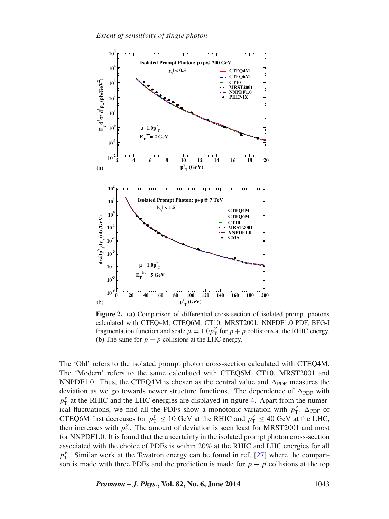<span id="page-4-0"></span>

**Figure 2.** (**a**) Comparison of differential cross-section of isolated prompt photons calculated with CTEQ4M, CTEQ6M, CT10, MRST2001, NNPDF1.0 PDF, BFG-I fragmentation function and scale  $\mu = 1.0 p_{\rm T}^{\gamma}$  for  $p + p$  collisions at the RHIC energy. (**b**) The same for  $p + p$  collisions at the LHC energy.

The 'Old' refers to the isolated prompt photon cross-section calculated with CTEQ4M. The 'Modern' refers to the same calculated with CTEQ6M, CT10, MRST2001 and NNPDF1.0. Thus, the CTEQ4M is chosen as the central value and  $\Delta_{\text{PDF}}$  measures the deviation as we go towards newer structure functions. The dependence of  $\Delta_{\text{PDF}}$  with  $p_T^{\gamma}$  at the RHIC and the LHC energies are displayed in figure [4.](#page-6-0) Apart from the numerical fluctuations, we find all the PDFs show a monotonic variation with  $p_T^{\gamma}$ .  $\Delta_{\text{PDF}}$  of CTEQ6M first decreases for  $p_T^{\gamma} \le 10$  GeV at the RHIC and  $p_T^{\gamma} \le 40$  GeV at the LHC, then increases with  $p_T^{\gamma}$ . The amount of deviation is seen least for MRST2001 and most for NNPDF1.0. It is found that the uncertainty in the isolated prompt photon cross-section associated with the choice of PDFs is within 20% at the RHIC and LHC energies for all  $p_T^{\gamma}$ . Similar work at the Tevatron energy can be found in ref. [\[27\]](#page-8-18) where the comparison is made with three PDFs and the prediction is made for  $p + p$  collisions at the top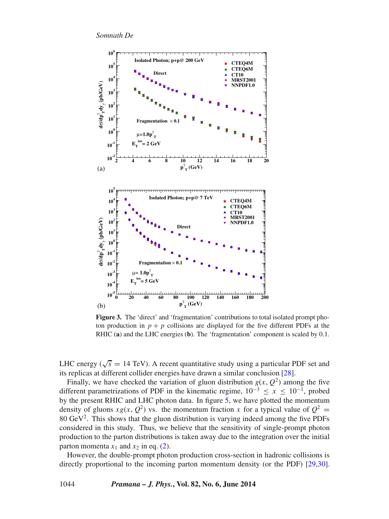<span id="page-5-0"></span>

**Figure 3.** The 'direct' and 'fragmentation' contributions to total isolated prompt photon production in  $p + p$  collisions are displayed for the five different PDFs at the RHIC (**a**) and the LHC energies (**b**). The 'fragmentation' component is scaled by 0.1.

LHC energy ( $\sqrt{s}$  = 14 TeV). A recent quantitative study using a particular PDF set and its replicas at different collider energies have drawn a similar conclusion [\[28\]](#page-8-19).

Finally, we have checked the variation of gluon distribution  $g(x, Q^2)$  among the five different parametrizations of PDF in the kinematic regime,  $10^{-3} \le x \le 10^{-1}$ , probed by the present RHIC and LHC photon data. In figure [5,](#page-7-4) we have plotted the momentum density of gluons  $xg(x, Q^2)$  vs. the momentum fraction x for a typical value of  $Q^2 =$ 80  $GeV<sup>2</sup>$ . This shows that the gluon distribution is varying indeed among the five PDFs considered in this study. Thus, we believe that the sensitivity of single-prompt photon production to the parton distributions is taken away due to the integration over the initial parton momenta  $x_1$  and  $x_2$  in eq. [\(2\)](#page-1-1).

However, the double-prompt photon production cross-section in hadronic collisions is directly proportional to the incoming parton momentum density (or the PDF) [\[29,](#page-8-20)[30\]](#page-8-21).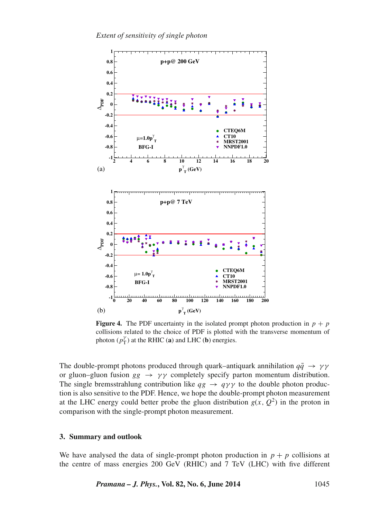<span id="page-6-0"></span>

**Figure 4.** The PDF uncertainty in the isolated prompt photon production in  $p + p$ collisions related to the choice of PDF is plotted with the transverse momentum of photon  $(p_T^{\gamma})$  at the RHIC (**a**) and LHC (**b**) energies.

The double-prompt photons produced through quark–antiquark annihilation  $q\bar{q} \rightarrow \gamma \gamma$ or gluon–gluon fusion  $gg \rightarrow \gamma\gamma$  completely specify parton momentum distribution. The single bremsstrahlung contribution like  $qg \rightarrow q\gamma\gamma$  to the double photon production is also sensitive to the PDF. Hence, we hope the double-prompt photon measurement at the LHC energy could better probe the gluon distribution  $g(x, Q^2)$  in the proton in comparison with the single-prompt photon measurement.

# **3. Summary and outlook**

We have analysed the data of single-prompt photon production in  $p + p$  collisions at the centre of mass energies 200 GeV (RHIC) and 7 TeV (LHC) with five different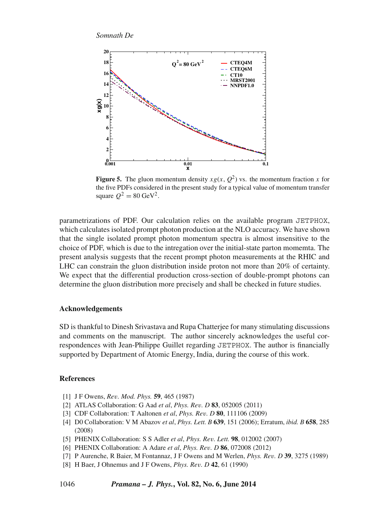<span id="page-7-4"></span>

**Figure 5.** The gluon momentum density  $xg(x, Q^2)$  vs. the momentum fraction x for the five PDFs considered in the present study for a typical value of momentum transfer square  $Q^2 = 80 \text{ GeV}^2$ .

parametrizations of PDF. Our calculation relies on the available program JETPHOX, which calculates isolated prompt photon production at the NLO accuracy. We have shown that the single isolated prompt photon momentum spectra is almost insensitive to the choice of PDF, which is due to the intregation over the initial-state parton momemta. The present analysis suggests that the recent prompt photon measurements at the RHIC and LHC can constrain the gluon distribution inside proton not more than 20% of certainty. We expect that the differential production cross-section of double-prompt photons can determine the gluon distribution more precisely and shall be checked in future studies.

### **Acknowledgements**

SD is thankful to Dinesh Srivastava and Rupa Chatterjee for many stimulating discussions and comments on the manuscript. The author sincerely acknowledges the useful correspondences with Jean-Philippe Guillet regarding JETPHOX. The author is financially supported by Department of Atomic Energy, India, during the course of this work.

# **References**

- <span id="page-7-0"></span>[1] J F Owens, *Re*v*. Mod. Phys.* **59**, 465 (1987)
- <span id="page-7-1"></span>[2] ATLAS Collaboration: G Aad *et al*, *Phys. Re*v*. D* **83**, 052005 (2011)
- <span id="page-7-2"></span>[3] CDF Collaboration: T Aaltonen *et al*, *Phys. Re*v*. D* **80**, 111106 (2009)
- [4] D0 Collaboration: V M Abazov *et al*, *Phys. Lett. B* **639**, 151 (2006); Erratum, *ibid. B* **658**, 285 (2008)
- [5] PHENIX Collaboration: S S Adler *et al*, *Phys. Re*v*. Lett.* **98**, 012002 (2007)
- <span id="page-7-3"></span>[6] PHENIX Collaboration: A Adare *et al*, *Phys. Re*v*. D* **86**, 072008 (2012)
- [7] P Aurenche, R Baier, M Fontannaz, J F Owens and M Werlen, *Phys. Re*v*. D* **39**, 3275 (1989)
- [8] H Baer, J Ohnemus and J F Owens, *Phys. Re*v*. D* **42**, 61 (1990)